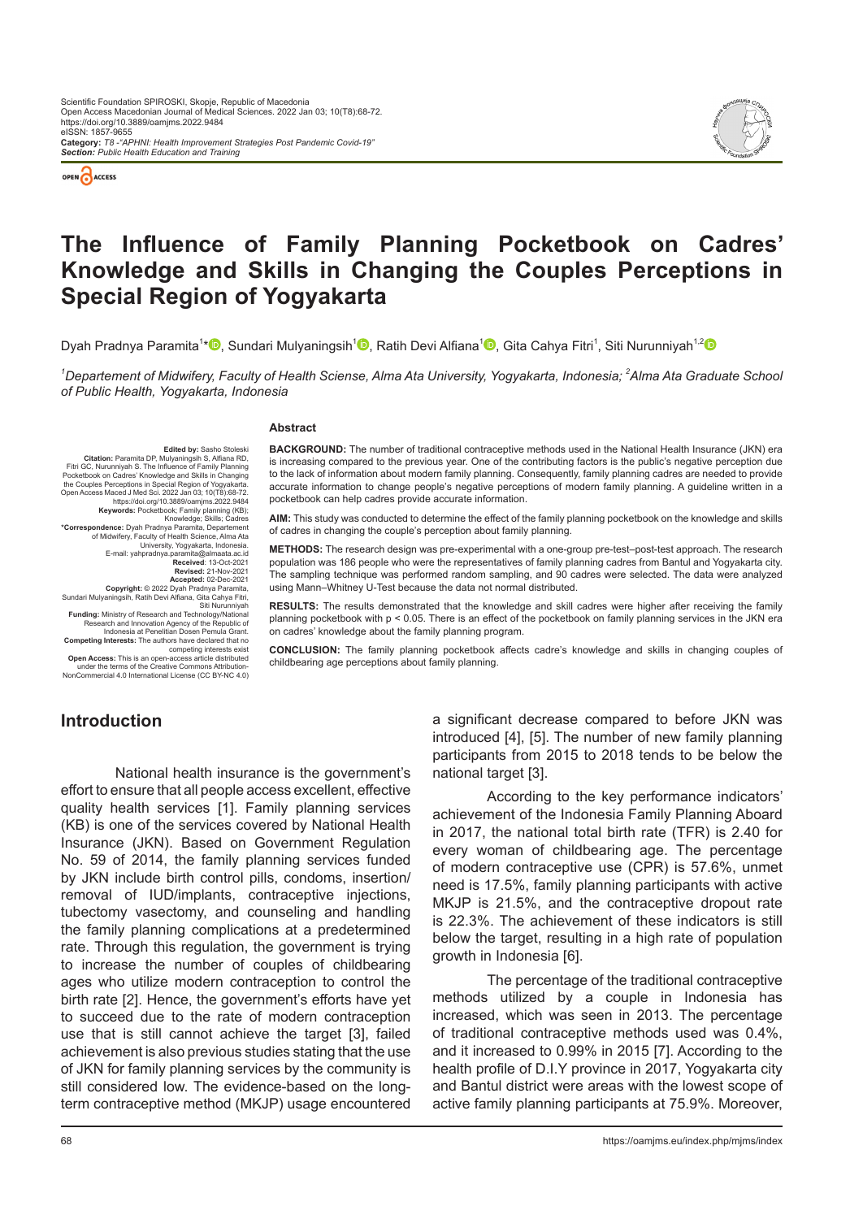



# **The Influence of Family Planning Pocketbook on Cadres' Knowledge and Skills in Changing the Couples Perceptions in Special Region of Yogyakarta**

Dyah Pradnya Paramita<sup>1</sup>[\\*](https://orcid.org/0000-0002-8503-3244)❶[,](https://orcid.org/0000-0002-5019-2173) Sundari Mulyaningsih<sup>1</sup>❶, Ratih Devi Alfiana<sup>1</sup>❶, Gita Cahya Fitri<sup>1</sup>, Siti Nurunniyah<sup>1,[2](https://orcid.org/0000-0001-6344-5785)</sup>

*1 Departement of Midwifery, Faculty of Health Sciense, Alma Ata University, Yogyakarta, Indonesia; 2 Alma Ata Graduate School of Public Health, Yogyakarta, Indonesia*

#### **Abstract**

**Edited by:** Sasho Stoleski<br>**Citation:** Paramita DP, Mulyaningsih S, Alfiana RD,<br>Fitri GC, Nurunniyah S. The Influence of Family Planning<br>Pocketbook on Cadres' Knowledge and Skills in Changing the Couples Perceptions in Special Region of Yogyakarta<br>Open Access Maced J Med Sci. 2022 Jan 03: 10(T8):68-72 Open Access Maced J Med Sci. 2022.9 Jan 03; 10(T8):68-72.<br>https://doi.org/10.3889/oamjms.2022.9484<br>Keywords: Pocketbook; Family planning (KB);<br>\*Correspondence: Dyah Pradnya Paramita, Departement<br>of Midwifery, Faculty of H E-mail: yahpradnya.paramita@almaata.ac.id **Received: 13-Oct-2021<br><b>Revised: 21-Nov-2021 Revised:** 21-Nov-2021<br>**Accepte**d: 02-Dec-2021<br>**Copyright:** © 2022 Dyah Pradnya Paramita,<br>Sundari Mulyaningsih, Ratih Devi Alfiana, Gita Cahya Fitri, Siti Nurunniyah **Funding:** Ministry of Research and Technology/National Research and Innovation Agency of the Republic of

Indonesia at Penelitian Dosen Pemula Grant.<br>
Competing Interests: The authors have declared that no<br>
competing interests exist<br>
Open Access: This is an open-access article distributed<br>
under the terms of the Creative Commo

**BACKGROUND:** The number of traditional contraceptive methods used in the National Health Insurance (JKN) era is increasing compared to the previous year. One of the contributing factors is the public's negative perception due to the lack of information about modern family planning. Consequently, family planning cadres are needed to provide accurate information to change people's negative perceptions of modern family planning. A guideline written in a pocketbook can help cadres provide accurate information.

**AIM:** This study was conducted to determine the effect of the family planning pocketbook on the knowledge and skills of cadres in changing the couple's perception about family planning.

**METHODS:** The research design was pre-experimental with a one-group pre-test–post-test approach. The research population was 186 people who were the representatives of family planning cadres from Bantul and Yogyakarta city. The sampling technique was performed random sampling, and 90 cadres were selected. The data were analyzed using Mann–Whitney U-Test because the data not normal distributed.

**RESULTS:** The results demonstrated that the knowledge and skill cadres were higher after receiving the family planning pocketbook with p < 0.05. There is an effect of the pocketbook on family planning services in the JKN era on cadres' knowledge about the family planning program.

**CONCLUSION:** The family planning pocketbook affects cadre's knowledge and skills in changing couples of childbearing age perceptions about family planning.

### **Introduction**

National health insurance is the government's effort to ensure that all people access excellent, effective quality health services [1]. Family planning services (KB) is one of the services covered by National Health Insurance (JKN). Based on Government Regulation No. 59 of 2014, the family planning services funded by JKN include birth control pills, condoms, insertion/ removal of IUD/implants, contraceptive injections, tubectomy vasectomy, and counseling and handling the family planning complications at a predetermined rate. Through this regulation, the government is trying to increase the number of couples of childbearing ages who utilize modern contraception to control the birth rate [2]. Hence, the government's efforts have yet to succeed due to the rate of modern contraception use that is still cannot achieve the target [3], failed achievement is also previous studies stating that the use of JKN for family planning services by the community is still considered low. The evidence-based on the longterm contraceptive method (MKJP) usage encountered

a significant decrease compared to before JKN was introduced [4], [5]. The number of new family planning participants from 2015 to 2018 tends to be below the national target [3].

According to the key performance indicators' achievement of the Indonesia Family Planning Aboard in 2017, the national total birth rate (TFR) is 2.40 for every woman of childbearing age. The percentage of modern contraceptive use (CPR) is 57.6%, unmet need is 17.5%, family planning participants with active MKJP is 21.5%, and the contraceptive dropout rate is 22.3%. The achievement of these indicators is still below the target, resulting in a high rate of population growth in Indonesia [6].

The percentage of the traditional contraceptive methods utilized by a couple in Indonesia has increased, which was seen in 2013. The percentage of traditional contraceptive methods used was 0.4%, and it increased to 0.99% in 2015 [7]. According to the health profile of D.I.Y province in 2017, Yogyakarta city and Bantul district were areas with the lowest scope of active family planning participants at 75.9%. Moreover,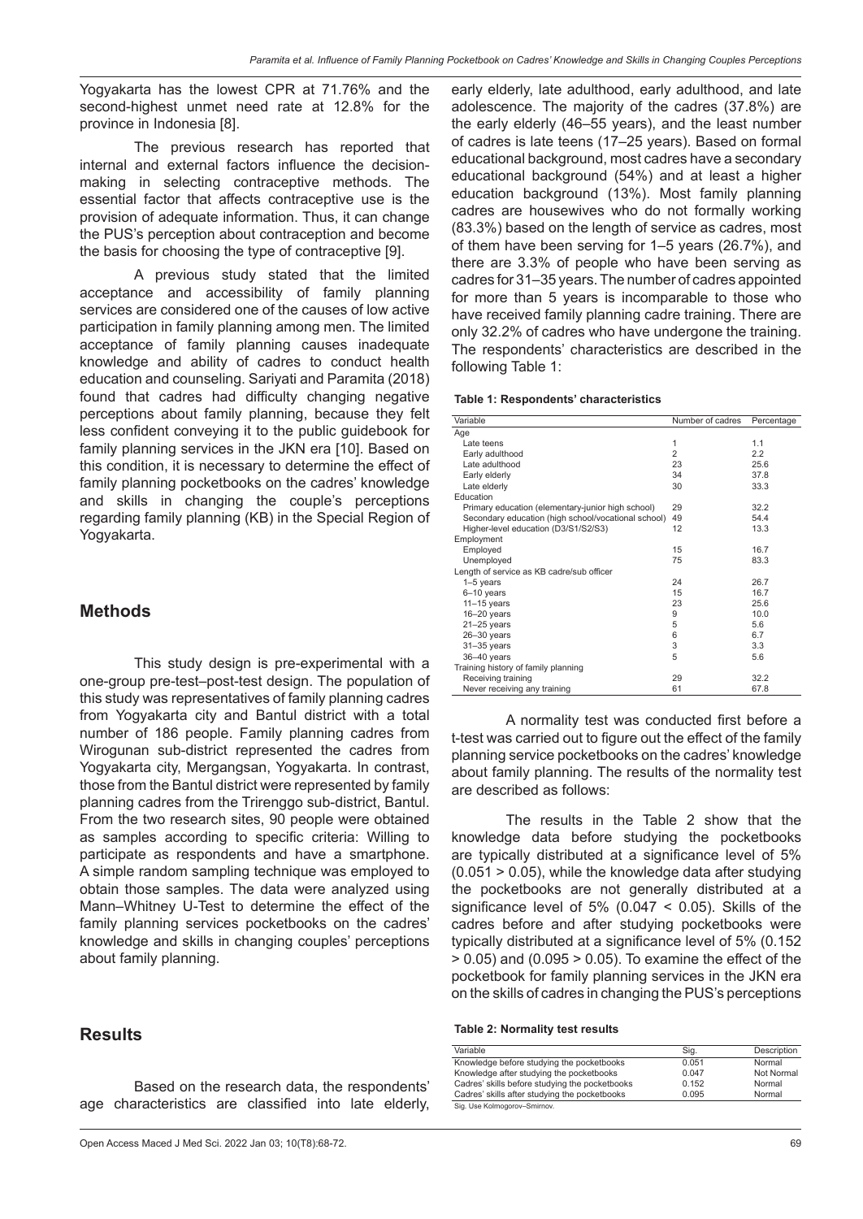Yogyakarta has the lowest CPR at 71.76% and the second-highest unmet need rate at 12.8% for the province in Indonesia [8].

The previous research has reported that internal and external factors influence the decisionmaking in selecting contraceptive methods. The essential factor that affects contraceptive use is the provision of adequate information. Thus, it can change the PUS's perception about contraception and become the basis for choosing the type of contraceptive [9].

A previous study stated that the limited acceptance and accessibility of family planning services are considered one of the causes of low active participation in family planning among men. The limited acceptance of family planning causes inadequate knowledge and ability of cadres to conduct health education and counseling. Sariyati and Paramita (2018) found that cadres had difficulty changing negative perceptions about family planning, because they felt less confident conveying it to the public guidebook for family planning services in the JKN era [10]. Based on this condition, it is necessary to determine the effect of family planning pocketbooks on the cadres' knowledge and skills in changing the couple's perceptions regarding family planning (KB) in the Special Region of Yogyakarta.

#### **Methods**

This study design is pre-experimental with a one-group pre-test–post-test design. The population of this study was representatives of family planning cadres from Yogyakarta city and Bantul district with a total number of 186 people. Family planning cadres from Wirogunan sub-district represented the cadres from Yogyakarta city, Mergangsan, Yogyakarta. In contrast, those from the Bantul district were represented by family planning cadres from the Trirenggo sub-district, Bantul. From the two research sites, 90 people were obtained as samples according to specific criteria: Willing to participate as respondents and have a smartphone. A simple random sampling technique was employed to obtain those samples. The data were analyzed using Mann–Whitney U-Test to determine the effect of the family planning services pocketbooks on the cadres' knowledge and skills in changing couples' perceptions about family planning.

#### **Results**

Based on the research data, the respondents' age characteristics are classified into late elderly, early elderly, late adulthood, early adulthood, and late adolescence. The majority of the cadres (37.8%) are the early elderly (46–55 years), and the least number of cadres is late teens (17–25 years). Based on formal educational background, most cadres have a secondary educational background (54%) and at least a higher education background (13%). Most family planning cadres are housewives who do not formally working (83.3%) based on the length of service as cadres, most of them have been serving for 1–5 years (26.7%), and there are 3.3% of people who have been serving as cadres for 31–35 years. The number of cadres appointed for more than 5 years is incomparable to those who have received family planning cadre training. There are only 32.2% of cadres who have undergone the training. The respondents' characteristics are described in the following Table 1:

| Variable                                            | Number of cadres | Percentage |  |
|-----------------------------------------------------|------------------|------------|--|
| Age                                                 |                  |            |  |
| Late teens                                          | 1                | 1.1        |  |
| Early adulthood                                     | 2                | 2.2        |  |
| Late adulthood                                      | 23               | 25.6       |  |
| Early elderly                                       | 34               | 37.8       |  |
| Late elderly                                        | 30               | 33.3       |  |
| Education                                           |                  |            |  |
| Primary education (elementary-junior high school)   | 29               | 32.2       |  |
| Secondary education (high school/vocational school) | 49               | 54.4       |  |
| Higher-level education (D3/S1/S2/S3)                | 12               | 13.3       |  |
| Employment                                          |                  |            |  |
| Employed                                            | 15               | 16.7       |  |
| Unemployed                                          | 75               | 83.3       |  |
| Length of service as KB cadre/sub officer           |                  |            |  |
| 1-5 years                                           | 24               | 26.7       |  |
| $6 - 10$ years                                      | 15               | 16.7       |  |
| $11 - 15$ years                                     | 23               | 25.6       |  |
| $16 - 20$ years                                     | 9                | 10.0       |  |
| $21 - 25$ years                                     | 5                | 5.6        |  |
| $26 - 30$ years                                     | 6                | 6.7        |  |
| $31 - 35$ years                                     | 3                | 3.3        |  |
| 36-40 years                                         | 5                | 5.6        |  |
| Training history of family planning                 |                  |            |  |
| Receiving training                                  | 29               | 32.2       |  |
| Never receiving any training                        | 61               | 67.8       |  |

A normality test was conducted first before a t-test was carried out to figure out the effect of the family planning service pocketbooks on the cadres' knowledge about family planning. The results of the normality test are described as follows:

The results in the Table 2 show that the knowledge data before studying the pocketbooks are typically distributed at a significance level of 5%  $(0.051 > 0.05)$ , while the knowledge data after studying the pocketbooks are not generally distributed at a significance level of  $5\%$  (0.047 < 0.05). Skills of the cadres before and after studying pocketbooks were typically distributed at a significance level of 5% (0.152  $> 0.05$ ) and (0.095  $> 0.05$ ). To examine the effect of the pocketbook for family planning services in the JKN era on the skills of cadres in changing the PUS's perceptions

#### **Table 2: Normality test results**

| Variable                                       | Sig.  | Description |
|------------------------------------------------|-------|-------------|
| Knowledge before studying the pocketbooks      | 0.051 | Normal      |
| Knowledge after studying the pocketbooks       | 0.047 | Not Normal  |
| Cadres' skills before studying the pocketbooks | 0.152 | Normal      |
| Cadres' skills after studying the pocketbooks  | 0.095 | Normal      |
| Sig. Use Kolmogorov-Smirnov.                   |       |             |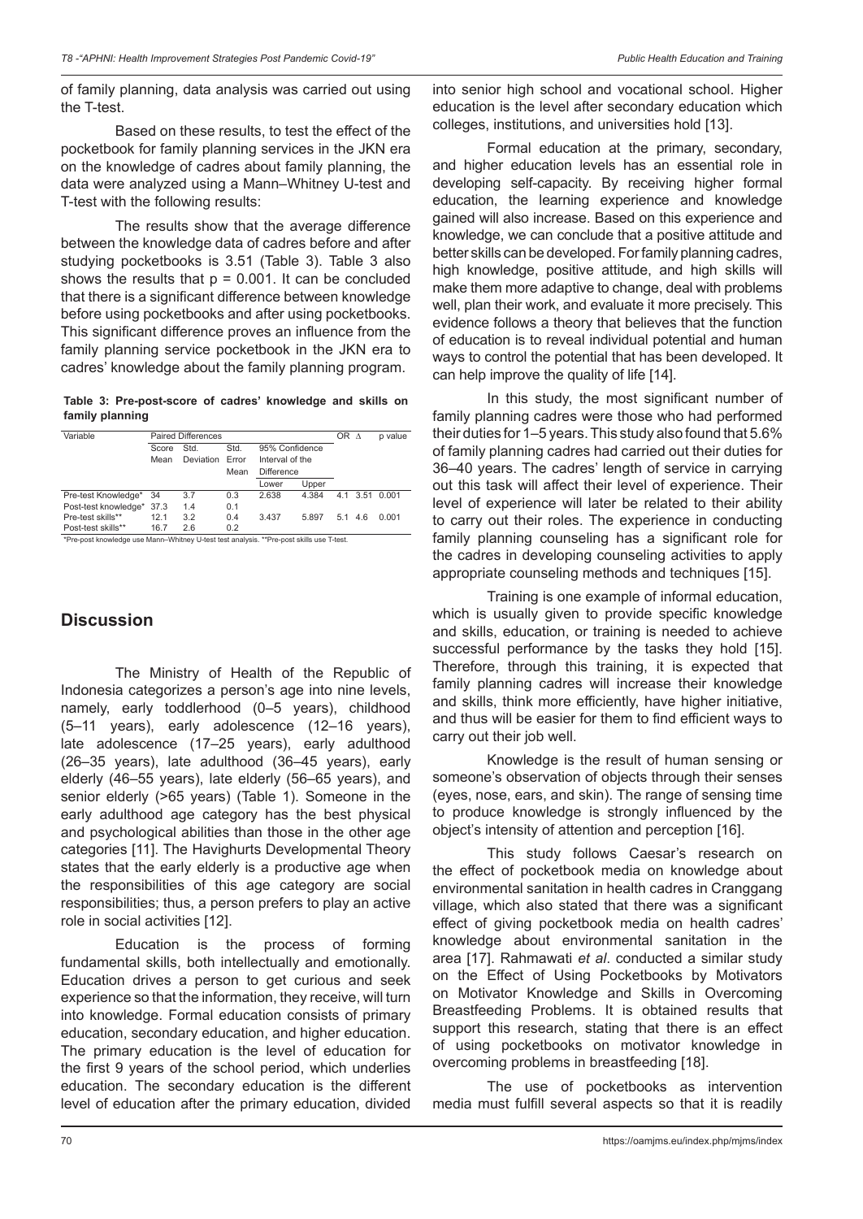of family planning, data analysis was carried out using the T-test.

Based on these results, to test the effect of the pocketbook for family planning services in the JKN era on the knowledge of cadres about family planning, the data were analyzed using a Mann–Whitney U-test and T-test with the following results:

The results show that the average difference between the knowledge data of cadres before and after studying pocketbooks is 3.51 (Table 3). Table 3 also shows the results that  $p = 0.001$ . It can be concluded that there is a significant difference between knowledge before using pocketbooks and after using pocketbooks. This significant difference proves an influence from the family planning service pocketbook in the JKN era to cadres' knowledge about the family planning program.

**Table 3: Pre‑post‑score of cadres' knowledge and skills on family planning**

| Variable                                                                                 |       | <b>Paired Differences</b> |       |                   |       | OR A |     | p value        |  |
|------------------------------------------------------------------------------------------|-------|---------------------------|-------|-------------------|-------|------|-----|----------------|--|
|                                                                                          | Score | Std.                      | Std.  | 95% Confidence    |       |      |     |                |  |
|                                                                                          | Mean  | <b>Deviation</b>          | Error | Interval of the   |       |      |     |                |  |
|                                                                                          |       |                           | Mean  | <b>Difference</b> |       |      |     |                |  |
|                                                                                          |       |                           |       | Lower             | Upper |      |     |                |  |
| Pre-test Knowledge*                                                                      | 34    | 3.7                       | 0.3   | 2.638             | 4.384 |      |     | 4.1 3.51 0.001 |  |
| Post-test knowledge*                                                                     | 37.3  | 1.4                       | 0.1   |                   |       |      |     |                |  |
| Pre-test skills**                                                                        | 12.1  | 3.2                       | 0.4   | 3.437             | 5.897 | 5.1  | 4.6 | 0.001          |  |
| Post-test skills**                                                                       | 16.7  | 2.6                       | 0.2   |                   |       |      |     |                |  |
| *Pre-post knowledge use Mann-Whitney U-test test analysis. **Pre-post skills use T-test. |       |                           |       |                   |       |      |     |                |  |

## **Discussion**

The Ministry of Health of the Republic of Indonesia categorizes a person's age into nine levels, namely, early toddlerhood (0–5 years), childhood (5–11 years), early adolescence (12–16 years), late adolescence (17–25 years), early adulthood (26–35 years), late adulthood (36–45 years), early elderly (46–55 years), late elderly (56–65 years), and senior elderly (>65 years) (Table 1). Someone in the early adulthood age category has the best physical and psychological abilities than those in the other age categories [11]. The Havighurts Developmental Theory states that the early elderly is a productive age when the responsibilities of this age category are social responsibilities; thus, a person prefers to play an active role in social activities [12].

Education is the process of forming fundamental skills, both intellectually and emotionally. Education drives a person to get curious and seek experience so that the information, they receive, will turn into knowledge. Formal education consists of primary education, secondary education, and higher education. The primary education is the level of education for the first 9 years of the school period, which underlies education. The secondary education is the different level of education after the primary education, divided into senior high school and vocational school. Higher education is the level after secondary education which colleges, institutions, and universities hold [13].

Formal education at the primary, secondary, and higher education levels has an essential role in developing self-capacity. By receiving higher formal education, the learning experience and knowledge gained will also increase. Based on this experience and knowledge, we can conclude that a positive attitude and better skills can be developed. For family planning cadres, high knowledge, positive attitude, and high skills will make them more adaptive to change, deal with problems well, plan their work, and evaluate it more precisely. This evidence follows a theory that believes that the function of education is to reveal individual potential and human ways to control the potential that has been developed. It can help improve the quality of life [14].

In this study, the most significant number of family planning cadres were those who had performed their duties for 1–5 years. This study also found that 5.6% of family planning cadres had carried out their duties for 36–40 years. The cadres' length of service in carrying out this task will affect their level of experience. Their level of experience will later be related to their ability to carry out their roles. The experience in conducting family planning counseling has a significant role for the cadres in developing counseling activities to apply appropriate counseling methods and techniques [15].

Training is one example of informal education, which is usually given to provide specific knowledge and skills, education, or training is needed to achieve successful performance by the tasks they hold [15]. Therefore, through this training, it is expected that family planning cadres will increase their knowledge and skills, think more efficiently, have higher initiative, and thus will be easier for them to find efficient ways to carry out their job well.

Knowledge is the result of human sensing or someone's observation of objects through their senses (eyes, nose, ears, and skin). The range of sensing time to produce knowledge is strongly influenced by the object's intensity of attention and perception [16].

This study follows Caesar's research on the effect of pocketbook media on knowledge about environmental sanitation in health cadres in Cranggang village, which also stated that there was a significant effect of giving pocketbook media on health cadres' knowledge about environmental sanitation in the area [17]. Rahmawati *et al*. conducted a similar study on the Effect of Using Pocketbooks by Motivators on Motivator Knowledge and Skills in Overcoming Breastfeeding Problems. It is obtained results that support this research, stating that there is an effect of using pocketbooks on motivator knowledge in overcoming problems in breastfeeding [18].

The use of pocketbooks as intervention media must fulfill several aspects so that it is readily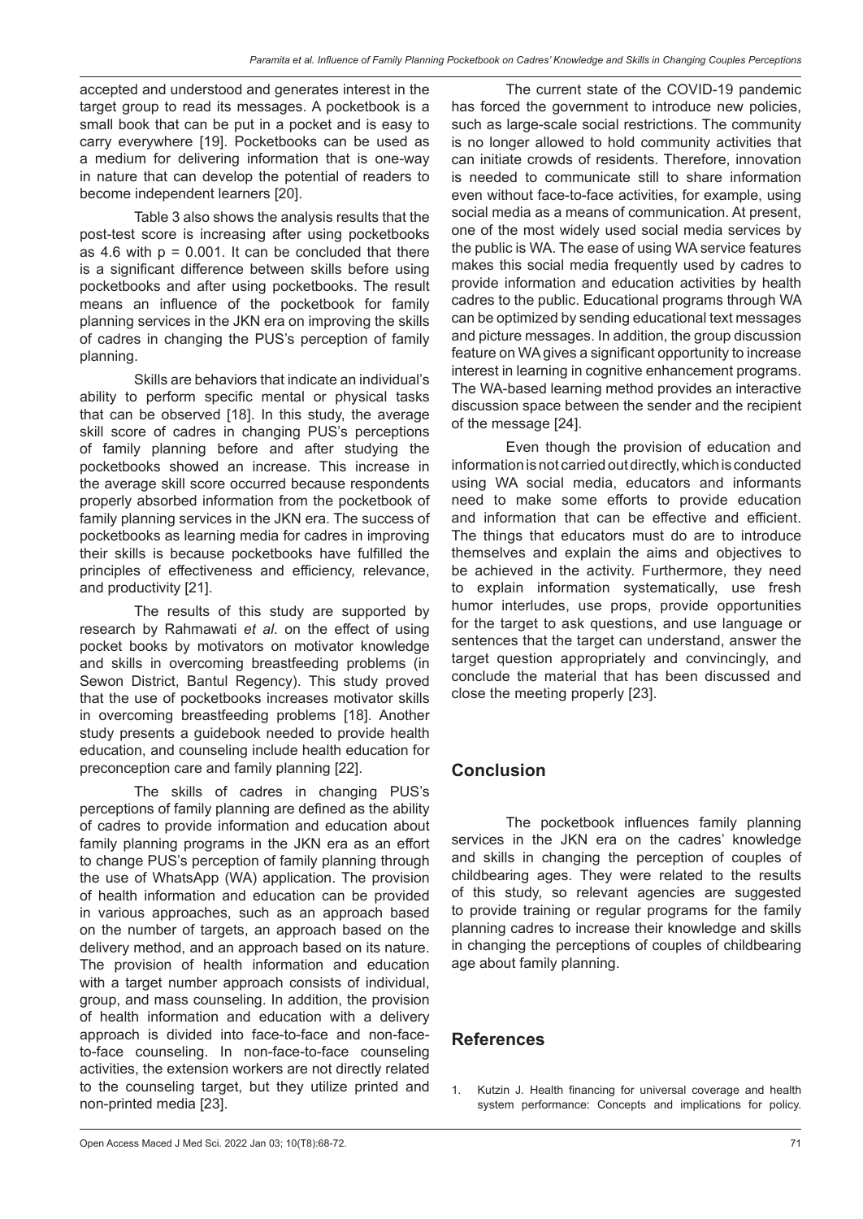accepted and understood and generates interest in the target group to read its messages. A pocketbook is a small book that can be put in a pocket and is easy to carry everywhere [19]. Pocketbooks can be used as a medium for delivering information that is one-way in nature that can develop the potential of readers to become independent learners [20].

Table 3 also shows the analysis results that the post-test score is increasing after using pocketbooks as 4.6 with  $p = 0.001$ . It can be concluded that there is a significant difference between skills before using pocketbooks and after using pocketbooks. The result means an influence of the pocketbook for family planning services in the JKN era on improving the skills of cadres in changing the PUS's perception of family planning.

Skills are behaviors that indicate an individual's ability to perform specific mental or physical tasks that can be observed [18]. In this study, the average skill score of cadres in changing PUS's perceptions of family planning before and after studying the pocketbooks showed an increase. This increase in the average skill score occurred because respondents properly absorbed information from the pocketbook of family planning services in the JKN era. The success of pocketbooks as learning media for cadres in improving their skills is because pocketbooks have fulfilled the principles of effectiveness and efficiency, relevance, and productivity [21].

The results of this study are supported by research by Rahmawati *et al*. on the effect of using pocket books by motivators on motivator knowledge and skills in overcoming breastfeeding problems (in Sewon District, Bantul Regency). This study proved that the use of pocketbooks increases motivator skills in overcoming breastfeeding problems [18]. Another study presents a guidebook needed to provide health education, and counseling include health education for preconception care and family planning [22].

The skills of cadres in changing PUS's perceptions of family planning are defined as the ability of cadres to provide information and education about family planning programs in the JKN era as an effort to change PUS's perception of family planning through the use of WhatsApp (WA) application. The provision of health information and education can be provided in various approaches, such as an approach based on the number of targets, an approach based on the delivery method, and an approach based on its nature. The provision of health information and education with a target number approach consists of individual, group, and mass counseling. In addition, the provision of health information and education with a delivery approach is divided into face-to-face and non-faceto-face counseling. In non-face-to-face counseling activities, the extension workers are not directly related to the counseling target, but they utilize printed and non-printed media [23].

The current state of the COVID-19 pandemic has forced the government to introduce new policies, such as large-scale social restrictions. The community is no longer allowed to hold community activities that can initiate crowds of residents. Therefore, innovation is needed to communicate still to share information even without face-to-face activities, for example, using social media as a means of communication. At present, one of the most widely used social media services by the public is WA. The ease of using WA service features makes this social media frequently used by cadres to provide information and education activities by health cadres to the public. Educational programs through WA can be optimized by sending educational text messages and picture messages. In addition, the group discussion feature on WA gives a significant opportunity to increase interest in learning in cognitive enhancement programs. The WA-based learning method provides an interactive discussion space between the sender and the recipient of the message [24].

Even though the provision of education and information is not carried out directly, which is conducted using WA social media, educators and informants need to make some efforts to provide education and information that can be effective and efficient. The things that educators must do are to introduce themselves and explain the aims and objectives to be achieved in the activity. Furthermore, they need to explain information systematically, use fresh humor interludes, use props, provide opportunities for the target to ask questions, and use language or sentences that the target can understand, answer the target question appropriately and convincingly, and conclude the material that has been discussed and close the meeting properly [23].

### **Conclusion**

The pocketbook influences family planning services in the JKN era on the cadres' knowledge and skills in changing the perception of couples of childbearing ages. They were related to the results of this study, so relevant agencies are suggested to provide training or regular programs for the family planning cadres to increase their knowledge and skills in changing the perceptions of couples of childbearing age about family planning.

#### **References**

1. Kutzin J. Health financing for universal coverage and health system performance: Concepts and implications for policy.